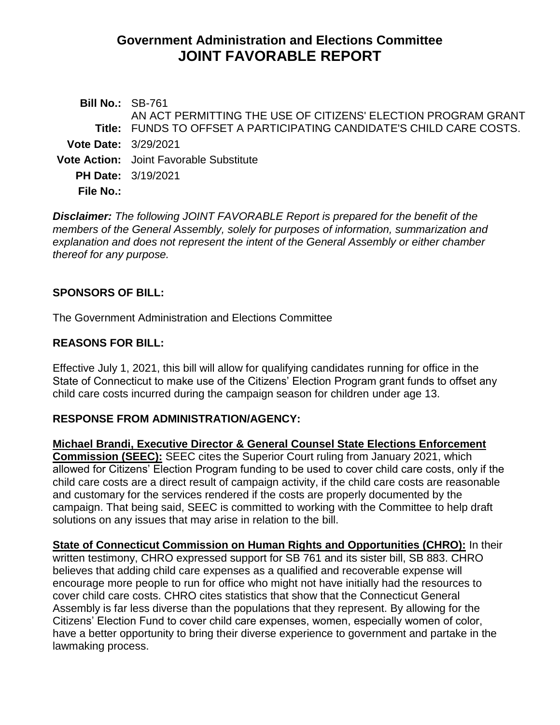# **Government Administration and Elections Committee JOINT FAVORABLE REPORT**

**Bill No.:** SB-761 **Title:** FUNDS TO OFFSET A PARTICIPATING CANDIDATE'S CHILD CARE COSTS. AN ACT PERMITTING THE USE OF CITIZENS' ELECTION PROGRAM GRANT **Vote Date:** 3/29/2021 **Vote Action:** Joint Favorable Substitute **PH Date:** 3/19/2021 **File No.:**

*Disclaimer: The following JOINT FAVORABLE Report is prepared for the benefit of the members of the General Assembly, solely for purposes of information, summarization and explanation and does not represent the intent of the General Assembly or either chamber thereof for any purpose.*

#### **SPONSORS OF BILL:**

The Government Administration and Elections Committee

#### **REASONS FOR BILL:**

Effective July 1, 2021, this bill will allow for qualifying candidates running for office in the State of Connecticut to make use of the Citizens' Election Program grant funds to offset any child care costs incurred during the campaign season for children under age 13.

### **RESPONSE FROM ADMINISTRATION/AGENCY:**

**Michael Brandi, Executive Director & General Counsel State Elections Enforcement Commission (SEEC):** SEEC cites the Superior Court ruling from January 2021, which allowed for Citizens' Election Program funding to be used to cover child care costs, only if the child care costs are a direct result of campaign activity, if the child care costs are reasonable and customary for the services rendered if the costs are properly documented by the campaign. That being said, SEEC is committed to working with the Committee to help draft solutions on any issues that may arise in relation to the bill.

**State of Connecticut Commission on Human Rights and Opportunities (CHRO):** In their written testimony, CHRO expressed support for SB 761 and its sister bill, SB 883. CHRO believes that adding child care expenses as a qualified and recoverable expense will encourage more people to run for office who might not have initially had the resources to cover child care costs. CHRO cites statistics that show that the Connecticut General Assembly is far less diverse than the populations that they represent. By allowing for the Citizens' Election Fund to cover child care expenses, women, especially women of color, have a better opportunity to bring their diverse experience to government and partake in the lawmaking process.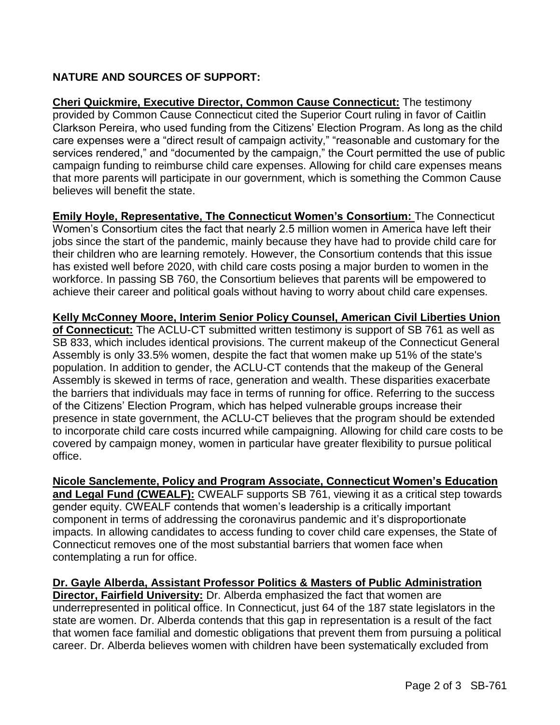## **NATURE AND SOURCES OF SUPPORT:**

**Cheri Quickmire, Executive Director, Common Cause Connecticut:** The testimony provided by Common Cause Connecticut cited the Superior Court ruling in favor of Caitlin Clarkson Pereira, who used funding from the Citizens' Election Program. As long as the child care expenses were a "direct result of campaign activity," "reasonable and customary for the services rendered," and "documented by the campaign," the Court permitted the use of public campaign funding to reimburse child care expenses. Allowing for child care expenses means that more parents will participate in our government, which is something the Common Cause believes will benefit the state.

**Emily Hoyle, Representative, The Connecticut Women's Consortium:** The Connecticut Women's Consortium cites the fact that nearly 2.5 million women in America have left their jobs since the start of the pandemic, mainly because they have had to provide child care for their children who are learning remotely. However, the Consortium contends that this issue has existed well before 2020, with child care costs posing a major burden to women in the workforce. In passing SB 760, the Consortium believes that parents will be empowered to achieve their career and political goals without having to worry about child care expenses.

**Kelly McConney Moore, Interim Senior Policy Counsel, American Civil Liberties Union of Connecticut:** The ACLU-CT submitted written testimony is support of SB 761 as well as SB 833, which includes identical provisions. The current makeup of the Connecticut General Assembly is only 33.5% women, despite the fact that women make up 51% of the state's population. In addition to gender, the ACLU-CT contends that the makeup of the General Assembly is skewed in terms of race, generation and wealth. These disparities exacerbate the barriers that individuals may face in terms of running for office. Referring to the success of the Citizens' Election Program, which has helped vulnerable groups increase their presence in state government, the ACLU-CT believes that the program should be extended to incorporate child care costs incurred while campaigning. Allowing for child care costs to be covered by campaign money, women in particular have greater flexibility to pursue political office.

**Nicole Sanclemente, Policy and Program Associate, Connecticut Women's Education and Legal Fund (CWEALF):** CWEALF supports SB 761, viewing it as a critical step towards gender equity. CWEALF contends that women's leadership is a critically important component in terms of addressing the coronavirus pandemic and it's disproportionate impacts. In allowing candidates to access funding to cover child care expenses, the State of Connecticut removes one of the most substantial barriers that women face when contemplating a run for office.

**Dr. Gayle Alberda, Assistant Professor Politics & Masters of Public Administration Director, Fairfield University:** Dr. Alberda emphasized the fact that women are underrepresented in political office. In Connecticut, just 64 of the 187 state legislators in the state are women. Dr. Alberda contends that this gap in representation is a result of the fact that women face familial and domestic obligations that prevent them from pursuing a political career. Dr. Alberda believes women with children have been systematically excluded from